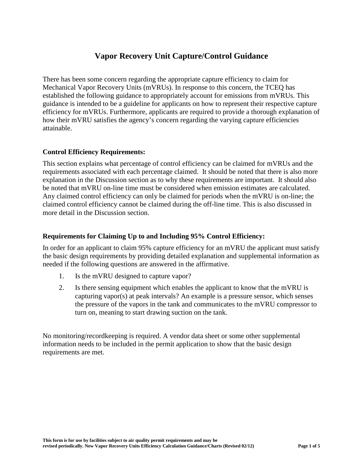# **Vapor Recovery Unit Capture/Control Guidance**

There has been some concern regarding the appropriate capture efficiency to claim for Mechanical Vapor Recovery Units (mVRUs). In response to this concern, the TCEQ has established the following guidance to appropriately account for emissions from mVRUs. This guidance is intended to be a guideline for applicants on how to represent their respective capture efficiency for mVRUs. Furthermore, applicants are required to provide a thorough explanation of how their mVRU satisfies the agency's concern regarding the varying capture efficiencies attainable.

### **Control Efficiency Requirements:**

This section explains what percentage of control efficiency can be claimed for mVRUs and the requirements associated with each percentage claimed. It should be noted that there is also more explanation in the Discussion section as to why these requirements are important. It should also be noted that mVRU on-line time must be considered when emission estimates are calculated. Any claimed control efficiency can only be claimed for periods when the mVRU is on-line; the claimed control efficiency cannot be claimed during the off-line time. This is also discussed in more detail in the Discussion section.

## **Requirements for Claiming Up to and Including 95% Control Efficiency:**

In order for an applicant to claim 95% capture efficiency for an mVRU the applicant must satisfy the basic design requirements by providing detailed explanation and supplemental information as needed if the following questions are answered in the affirmative.

- 1. Is the mVRU designed to capture vapor?
- 2. Is there sensing equipment which enables the applicant to know that the mVRU is capturing vapor(s) at peak intervals? An example is a pressure sensor, which senses the pressure of the vapors in the tank and communicates to the mVRU compressor to turn on, meaning to start drawing suction on the tank.

No monitoring/recordkeeping is required. A vendor data sheet or some other supplemental information needs to be included in the permit application to show that the basic design requirements are met.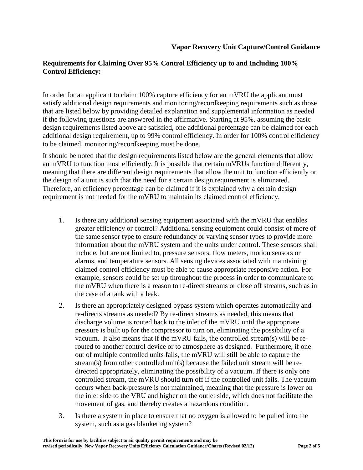# **Requirements for Claiming Over 95% Control Efficiency up to and Including 100% Control Efficiency:**

In order for an applicant to claim 100% capture efficiency for an mVRU the applicant must satisfy additional design requirements and monitoring/recordkeeping requirements such as those that are listed below by providing detailed explanation and supplemental information as needed if the following questions are answered in the affirmative. Starting at 95%, assuming the basic design requirements listed above are satisfied, one additional percentage can be claimed for each additional design requirement, up to 99% control efficiency. In order for 100% control efficiency to be claimed, monitoring/recordkeeping must be done.

It should be noted that the design requirements listed below are the general elements that allow an mVRU to function most efficiently. It is possible that certain mVRUs function differently, meaning that there are different design requirements that allow the unit to function efficiently or the design of a unit is such that the need for a certain design requirement is eliminated. Therefore, an efficiency percentage can be claimed if it is explained why a certain design requirement is not needed for the mVRU to maintain its claimed control efficiency.

- 1. Is there any additional sensing equipment associated with the mVRU that enables greater efficiency or control? Additional sensing equipment could consist of more of the same sensor type to ensure redundancy or varying sensor types to provide more information about the mVRU system and the units under control. These sensors shall include, but are not limited to, pressure sensors, flow meters, motion sensors or alarms, and temperature sensors. All sensing devices associated with maintaining claimed control efficiency must be able to cause appropriate responsive action. For example, sensors could be set up throughout the process in order to communicate to the mVRU when there is a reason to re-direct streams or close off streams, such as in the case of a tank with a leak.
- 2. Is there an appropriately designed bypass system which operates automatically and re-directs streams as needed? By re-direct streams as needed, this means that discharge volume is routed back to the inlet of the mVRU until the appropriate pressure is built up for the compressor to turn on, eliminating the possibility of a vacuum. It also means that if the mVRU fails, the controlled stream(s) will be rerouted to another control device or to atmosphere as designed. Furthermore, if one out of multiple controlled units fails, the mVRU will still be able to capture the stream(s) from other controlled unit(s) because the failed unit stream will be redirected appropriately, eliminating the possibility of a vacuum. If there is only one controlled stream, the mVRU should turn off if the controlled unit fails. The vacuum occurs when back-pressure is not maintained, meaning that the pressure is lower on the inlet side to the VRU and higher on the outlet side, which does not facilitate the movement of gas, and thereby creates a hazardous condition.
- 3. Is there a system in place to ensure that no oxygen is allowed to be pulled into the system, such as a gas blanketing system?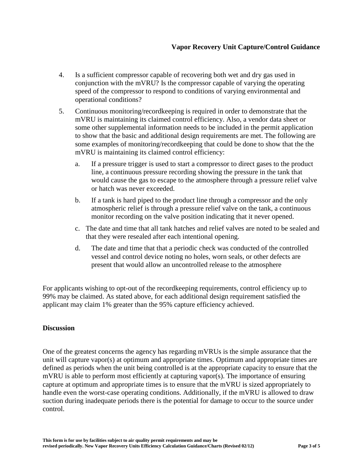- 4. Is a sufficient compressor capable of recovering both wet and dry gas used in conjunction with the mVRU? Is the compressor capable of varying the operating speed of the compressor to respond to conditions of varying environmental and operational conditions?
- 5. Continuous monitoring/recordkeeping is required in order to demonstrate that the mVRU is maintaining its claimed control efficiency. Also, a vendor data sheet or some other supplemental information needs to be included in the permit application to show that the basic and additional design requirements are met. The following are some examples of monitoring/recordkeeping that could be done to show that the the mVRU is maintaining its claimed control efficiency:
	- a. If a pressure trigger is used to start a compressor to direct gases to the product line, a continuous pressure recording showing the pressure in the tank that would cause the gas to escape to the atmosphere through a pressure relief valve or hatch was never exceeded.
	- b. If a tank is hard piped to the product line through a compressor and the only atmospheric relief is through a pressure relief valve on the tank, a continuous monitor recording on the valve position indicating that it never opened.
	- c. The date and time that all tank hatches and relief valves are noted to be sealed and that they were resealed after each intentional opening.
	- d. The date and time that that a periodic check was conducted of the controlled vessel and control device noting no holes, worn seals, or other defects are present that would allow an uncontrolled release to the atmosphere

For applicants wishing to opt-out of the recordkeeping requirements, control efficiency up to 99% may be claimed. As stated above, for each additional design requirement satisfied the applicant may claim 1% greater than the 95% capture efficiency achieved.

### **Discussion**

One of the greatest concerns the agency has regarding mVRUs is the simple assurance that the unit will capture vapor(s) at optimum and appropriate times. Optimum and appropriate times are defined as periods when the unit being controlled is at the appropriate capacity to ensure that the mVRU is able to perform most efficiently at capturing vapor(s). The importance of ensuring capture at optimum and appropriate times is to ensure that the mVRU is sized appropriately to handle even the worst-case operating conditions. Additionally, if the mVRU is allowed to draw suction during inadequate periods there is the potential for damage to occur to the source under control.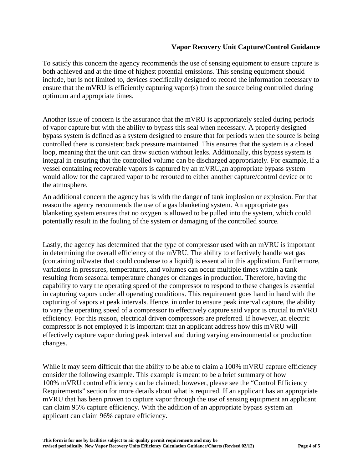### **Vapor Recovery Unit Capture/Control Guidance**

To satisfy this concern the agency recommends the use of sensing equipment to ensure capture is both achieved and at the time of highest potential emissions. This sensing equipment should include, but is not limited to, devices specifically designed to record the information necessary to ensure that the mVRU is efficiently capturing vapor(s) from the source being controlled during optimum and appropriate times.

Another issue of concern is the assurance that the mVRU is appropriately sealed during periods of vapor capture but with the ability to bypass this seal when necessary. A properly designed bypass system is defined as a system designed to ensure that for periods when the source is being controlled there is consistent back pressure maintained. This ensures that the system is a closed loop, meaning that the unit can draw suction without leaks. Additionally, this bypass system is integral in ensuring that the controlled volume can be discharged appropriately. For example, if a vessel containing recoverable vapors is captured by an mVRU,an appropriate bypass system would allow for the captured vapor to be rerouted to either another capture/control device or to the atmosphere.

An additional concern the agency has is with the danger of tank implosion or explosion. For that reason the agency recommends the use of a gas blanketing system. An appropriate gas blanketing system ensures that no oxygen is allowed to be pulled into the system, which could potentially result in the fouling of the system or damaging of the controlled source.

Lastly, the agency has determined that the type of compressor used with an mVRU is important in determining the overall efficiency of the mVRU. The ability to effectively handle wet gas (containing oil/water that could condense to a liquid) is essential in this application. Furthermore, variations in pressures, temperatures, and volumes can occur multiple times within a tank resulting from seasonal temperature changes or changes in production. Therefore, having the capability to vary the operating speed of the compressor to respond to these changes is essential in capturing vapors under all operating conditions. This requirement goes hand in hand with the capturing of vapors at peak intervals. Hence, in order to ensure peak interval capture, the ability to vary the operating speed of a compressor to effectively capture said vapor is crucial to mVRU efficiency. For this reason, electrical driven compressors are preferred. If however, an electric compressor is not employed it is important that an applicant address how this mVRU will effectively capture vapor during peak interval and during varying environmental or production changes.

While it may seem difficult that the ability to be able to claim a 100% mVRU capture efficiency consider the following example. This example is meant to be a brief summary of how 100% mVRU control efficiency can be claimed; however, please see the "Control Efficiency Requirements" section for more details about what is required. If an applicant has an appropriate mVRU that has been proven to capture vapor through the use of sensing equipment an applicant can claim 95% capture efficiency. With the addition of an appropriate bypass system an applicant can claim 96% capture efficiency.